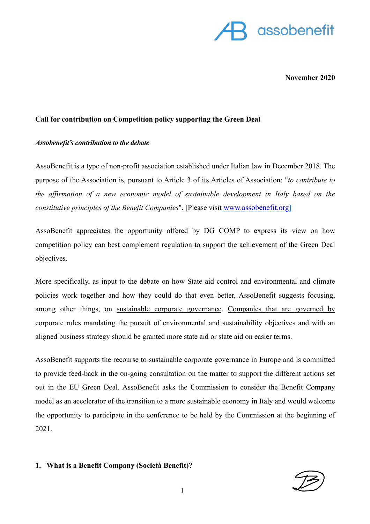

**November 2020** 

## **Call for contribution on Competition policy supporting the Green Deal**

#### *Assobenefit's contribution to the debate*

AssoBenefit is a type of non-profit association established under Italian law in December 2018. The purpose of the Association is, pursuant to Article 3 of its Articles of Association: "*to contribute to the affirmation of a new economic model of sustainable development in Italy based on the constitutive principles of the Benefit Companies*". [Please visit [www.assobenefit.org\]](http://www.assobenefit.org)

AssoBenefit appreciates the opportunity offered by DG COMP to express its view on how competition policy can best complement regulation to support the achievement of the Green Deal objectives.

More specifically, as input to the debate on how State aid control and environmental and climate policies work together and how they could do that even better, AssoBenefit suggests focusing, among other things, on sustainable corporate governance. Companies that are governed by corporate rules mandating the pursuit of environmental and sustainability objectives and with an aligned business strategy should be granted more state aid or state aid on easier terms.

AssoBenefit supports the recourse to sustainable corporate governance in Europe and is committed to provide feed-back in the on-going consultation on the matter to support the different actions set out in the EU Green Deal. AssoBenefit asks the Commission to consider the Benefit Company model as an accelerator of the transition to a more sustainable economy in Italy and would welcome the opportunity to participate in the conference to be held by the Commission at the beginning of 2021.

## **1. What is a Benefit Company (Società Benefit)?**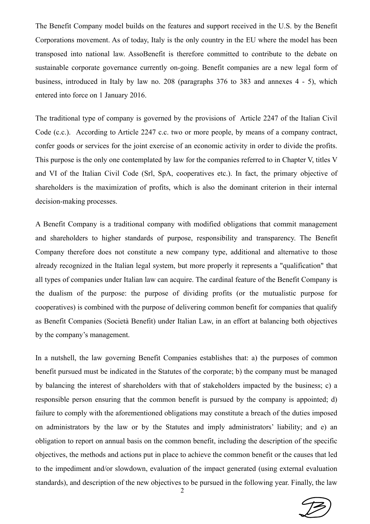The Benefit Company model builds on the features and support received in the U.S. by the Benefit Corporations movement. As of today, Italy is the only country in the EU where the model has been transposed into national law. AssoBenefit is therefore committed to contribute to the debate on sustainable corporate governance currently on-going. Benefit companies are a new legal form of business, introduced in Italy by law no. 208 (paragraphs 376 to 383 and annexes 4 - 5), which entered into force on 1 January 2016.

The traditional type of company is governed by the provisions of Article 2247 of the Italian Civil Code (c.c.). According to Article 2247 c.c. two or more people, by means of a company contract, confer goods or services for the joint exercise of an economic activity in order to divide the profits. This purpose is the only one contemplated by law for the companies referred to in Chapter V, titles V and VI of the Italian Civil Code (Srl, SpA, cooperatives etc.). In fact, the primary objective of shareholders is the maximization of profits, which is also the dominant criterion in their internal decision-making processes.

A Benefit Company is a traditional company with modified obligations that commit management and shareholders to higher standards of purpose, responsibility and transparency. The Benefit Company therefore does not constitute a new company type, additional and alternative to those already recognized in the Italian legal system, but more properly it represents a "qualification" that all types of companies under Italian law can acquire. The cardinal feature of the Benefit Company is the dualism of the purpose: the purpose of dividing profits (or the mutualistic purpose for cooperatives) is combined with the purpose of delivering common benefit for companies that qualify as Benefit Companies (Società Benefit) under Italian Law, in an effort at balancing both objectives by the company's management.

In a nutshell, the law governing Benefit Companies establishes that: a) the purposes of common benefit pursued must be indicated in the Statutes of the corporate; b) the company must be managed by balancing the interest of shareholders with that of stakeholders impacted by the business; c) a responsible person ensuring that the common benefit is pursued by the company is appointed; d) failure to comply with the aforementioned obligations may constitute a breach of the duties imposed on administrators by the law or by the Statutes and imply administrators' liability; and e) an obligation to report on annual basis on the common benefit, including the description of the specific objectives, the methods and actions put in place to achieve the common benefit or the causes that led to the impediment and/or slowdown, evaluation of the impact generated (using external evaluation standards), and description of the new objectives to be pursued in the following year. Finally, the law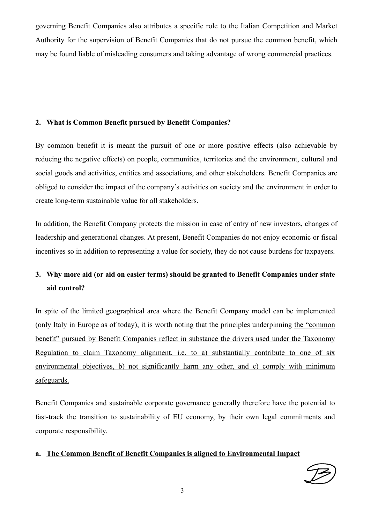governing Benefit Companies also attributes a specific role to the Italian Competition and Market Authority for the supervision of Benefit Companies that do not pursue the common benefit, which may be found liable of misleading consumers and taking advantage of wrong commercial practices.

## **2. What is Common Benefit pursued by Benefit Companies?**

By common benefit it is meant the pursuit of one or more positive effects (also achievable by reducing the negative effects) on people, communities, territories and the environment, cultural and social goods and activities, entities and associations, and other stakeholders. Benefit Companies are obliged to consider the impact of the company's activities on society and the environment in order to create long-term sustainable value for all stakeholders.

In addition, the Benefit Company protects the mission in case of entry of new investors, changes of leadership and generational changes. At present, Benefit Companies do not enjoy economic or fiscal incentives so in addition to representing a value for society, they do not cause burdens for taxpayers.

# **3. Why more aid (or aid on easier terms) should be granted to Benefit Companies under state aid control?**

In spite of the limited geographical area where the Benefit Company model can be implemented (only Italy in Europe as of today), it is worth noting that the principles underpinning the "common benefit" pursued by Benefit Companies reflect in substance the drivers used under the Taxonomy Regulation to claim Taxonomy alignment, i.e. to a) substantially contribute to one of six environmental objectives, b) not significantly harm any other, and c) comply with minimum safeguards.

Benefit Companies and sustainable corporate governance generally therefore have the potential to fast-track the transition to sustainability of EU economy, by their own legal commitments and corporate responsibility.

## **a. The Common Benefit of Benefit Companies is aligned to Environmental Impact**